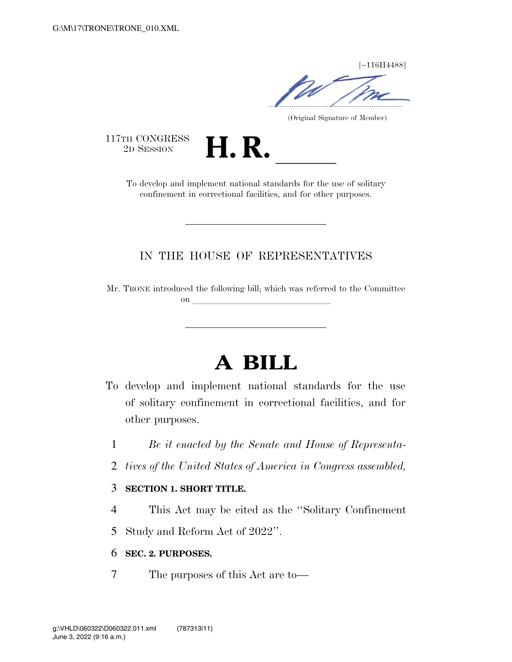[∼116H4488]

.....................................................................

(Original Signature of Member)

117TH CONGRESS<br>2D SESSION

TH CONGRESS<br>
2D SESSION<br>
To develop and implement national standards for the use of solitary confinement in correctional facilities, and for other purposes.

### IN THE HOUSE OF REPRESENTATIVES

Mr. TRONE introduced the following bill; which was referred to the Committee on **later and little little little** 

# **A BILL**

- To develop and implement national standards for the use of solitary confinement in correctional facilities, and for other purposes.
	- 1 *Be it enacted by the Senate and House of Representa-*
	- 2 *tives of the United States of America in Congress assembled,*

#### 3 **SECTION 1. SHORT TITLE.**

- 4 This Act may be cited as the ''Solitary Confinement
- 5 Study and Reform Act of 2022''.

#### 6 **SEC. 2. PURPOSES.**

7 The purposes of this Act are to—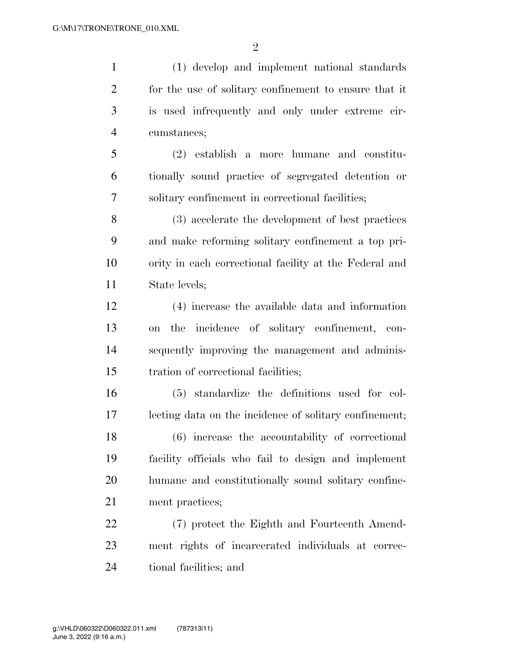$\mathfrak{D}$ 

 (1) develop and implement national standards for the use of solitary confinement to ensure that it is used infrequently and only under extreme cir- cumstances; (2) establish a more humane and constitu- tionally sound practice of segregated detention or solitary confinement in correctional facilities; (3) accelerate the development of best practices and make reforming solitary confinement a top pri- ority in each correctional facility at the Federal and State levels; (4) increase the available data and information on the incidence of solitary confinement, con- sequently improving the management and adminis- tration of correctional facilities; (5) standardize the definitions used for col- lecting data on the incidence of solitary confinement; (6) increase the accountability of correctional facility officials who fail to design and implement humane and constitutionally sound solitary confine-ment practices;

 (7) protect the Eighth and Fourteenth Amend- ment rights of incarcerated individuals at correc-tional facilities; and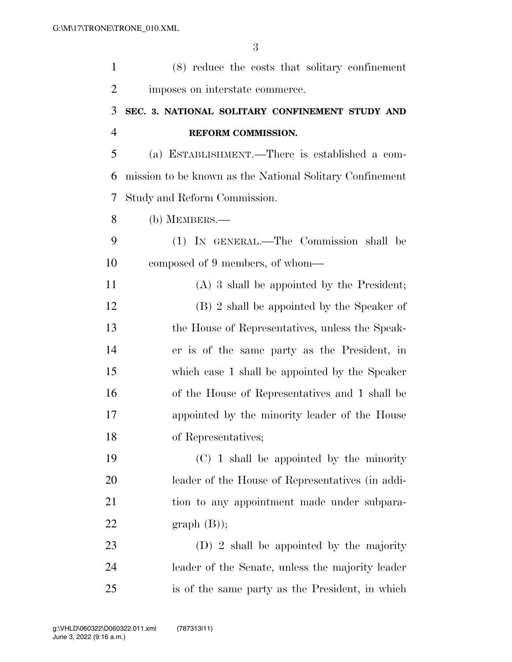| $\mathbf{1}$   | (8) reduce the costs that solitary confinement           |
|----------------|----------------------------------------------------------|
| $\overline{2}$ | imposes on interstate commerce.                          |
| 3              | SEC. 3. NATIONAL SOLITARY CONFINEMENT STUDY AND          |
| $\overline{4}$ | REFORM COMMISSION.                                       |
| 5              | (a) ESTABLISHMENT.—There is established a com-           |
| 6              | mission to be known as the National Solitary Confinement |
| 7              | Study and Reform Commission.                             |
| 8              | $(b)$ MEMBERS.—                                          |
| 9              | (1) IN GENERAL.—The Commission shall be                  |
| 10             | composed of 9 members, of whom—                          |
| 11             | $(A)$ 3 shall be appointed by the President;             |
| 12             | (B) 2 shall be appointed by the Speaker of               |
| 13             | the House of Representatives, unless the Speak-          |
| 14             | er is of the same party as the President, in             |
| 15             | which case 1 shall be appointed by the Speaker           |
| 16             | of the House of Representatives and 1 shall be           |
| 17             | appointed by the minority leader of the House            |
| 18             | of Representatives;                                      |
| 19             | $(C)$ 1 shall be appointed by the minority               |
| 20             | leader of the House of Representatives (in addi-         |
| 21             | tion to any appointment made under subpara-              |
| 22             | graph(B);                                                |
| 23             | $(D)$ 2 shall be appointed by the majority               |
| 24             | leader of the Senate, unless the majority leader         |
| 25             | is of the same party as the President, in which          |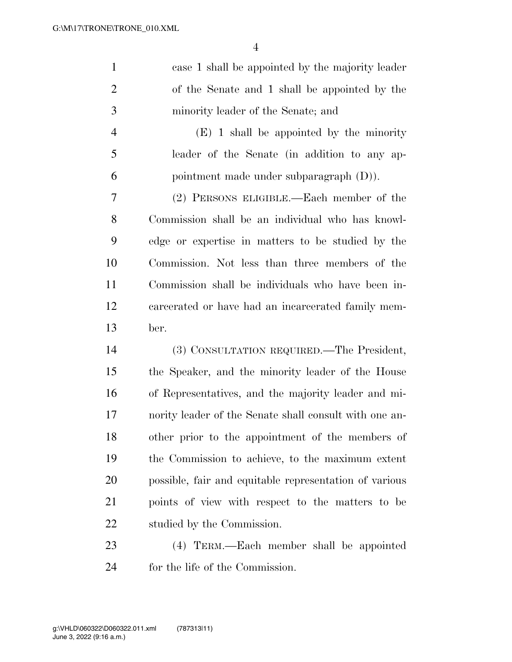| $\mathbf{1}$   | case 1 shall be appointed by the majority leader       |
|----------------|--------------------------------------------------------|
| $\overline{2}$ | of the Senate and 1 shall be appointed by the          |
| 3              | minority leader of the Senate; and                     |
| $\overline{4}$ | $(E)$ 1 shall be appointed by the minority             |
| 5              | leader of the Senate (in addition to any ap-           |
| 6              | pointment made under subparagraph (D).                 |
| 7              | (2) PERSONS ELIGIBLE.—Each member of the               |
| 8              | Commission shall be an individual who has knowl-       |
| 9              | edge or expertise in matters to be studied by the      |
| 10             | Commission. Not less than three members of the         |
| 11             | Commission shall be individuals who have been in-      |
| 12             | carcerated or have had an incarcerated family mem-     |
| 13             | ber.                                                   |
| 14             | (3) CONSULTATION REQUIRED.—The President,              |
| 15             | the Speaker, and the minority leader of the House      |
| 16             | of Representatives, and the majority leader and mi-    |
| 17             | nority leader of the Senate shall consult with one an- |
| 18             | other prior to the appointment of the members of       |
| 19             | the Commission to achieve, to the maximum extent       |
| 20             | possible, fair and equitable representation of various |
| 21             | points of view with respect to the matters to be       |
| 22             | studied by the Commission.                             |
| 23             | (4) TERM.—Each member shall be appointed               |

for the life of the Commission.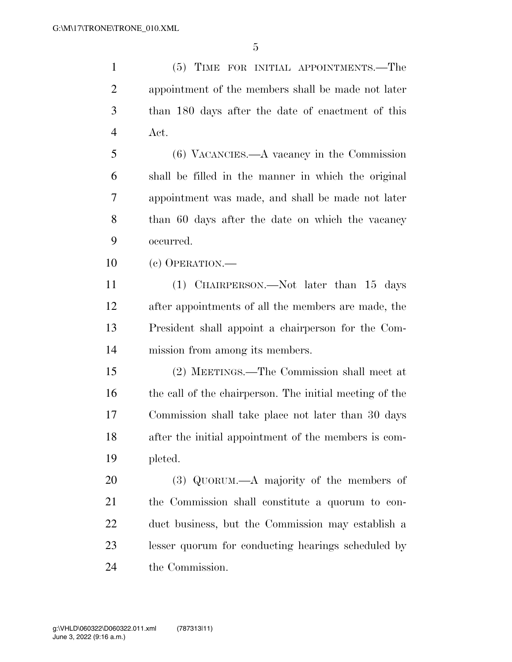(5) TIME FOR INITIAL APPOINTMENTS.—The appointment of the members shall be made not later than 180 days after the date of enactment of this Act. (6) VACANCIES.—A vacancy in the Commission

 shall be filled in the manner in which the original appointment was made, and shall be made not later 8 than 60 days after the date on which the vacancy occurred.

(c) OPERATION.—

 (1) CHAIRPERSON.—Not later than 15 days after appointments of all the members are made, the President shall appoint a chairperson for the Com-mission from among its members.

 (2) MEETINGS.—The Commission shall meet at the call of the chairperson. The initial meeting of the Commission shall take place not later than 30 days after the initial appointment of the members is com-pleted.

 (3) QUORUM.—A majority of the members of the Commission shall constitute a quorum to con- duct business, but the Commission may establish a lesser quorum for conducting hearings scheduled by the Commission.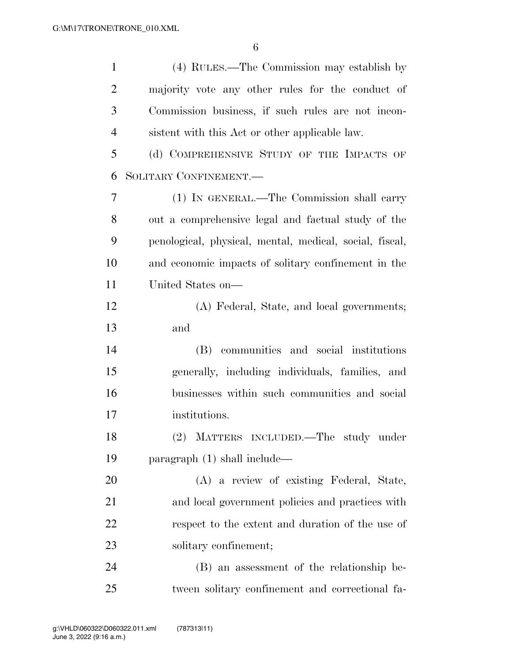| $\mathbf{1}$   | (4) RULES.—The Commission may establish by              |
|----------------|---------------------------------------------------------|
| $\overline{2}$ | majority vote any other rules for the conduct of        |
| 3              | Commission business, if such rules are not incon-       |
| $\overline{4}$ | sistent with this Act or other applicable law.          |
| 5              | (d) COMPREHENSIVE STUDY OF THE IMPACTS OF               |
| 6              | SOLITARY CONFINEMENT.                                   |
| 7              | (1) IN GENERAL.—The Commission shall carry              |
| 8              | out a comprehensive legal and factual study of the      |
| 9              | penological, physical, mental, medical, social, fiscal, |
| 10             | and economic impacts of solitary confinement in the     |
| 11             | United States on—                                       |
| 12             | (A) Federal, State, and local governments;              |
| 13             | and                                                     |
| 14             | (B) communities and social institutions                 |
| 15             | generally, including individuals, families, and         |
| 16             | businesses within such communities and social           |
| 17             | institutions.                                           |
| 18             | (2) MATTERS INCLUDED.—The study under                   |
| 19             | paragraph $(1)$ shall include—                          |
| 20             | (A) a review of existing Federal, State,                |
| 21             | and local government policies and practices with        |
| 22             | respect to the extent and duration of the use of        |
| 23             | solitary confinement;                                   |
| 24             | (B) an assessment of the relationship be-               |
| 25             | tween solitary confinement and correctional fa-         |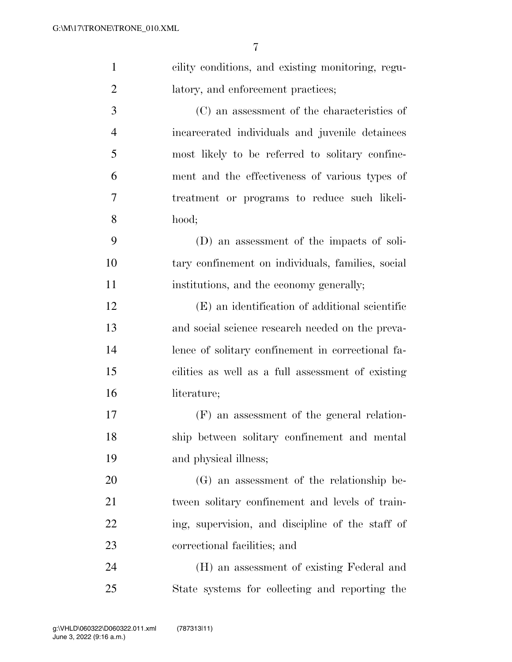| $\mathbf{1}$   | cility conditions, and existing monitoring, regu- |
|----------------|---------------------------------------------------|
| $\overline{2}$ | latory, and enforcement practices;                |
| 3              | (C) an assessment of the characteristics of       |
| $\overline{4}$ | incarcerated individuals and juvenile detainees   |
| 5              | most likely to be referred to solitary confine-   |
| 6              | ment and the effectiveness of various types of    |
| 7              | treatment or programs to reduce such likeli-      |
| 8              | hood;                                             |
| 9              | (D) an assessment of the impacts of soli-         |
| 10             | tary confinement on individuals, families, social |
| 11             | institutions, and the economy generally;          |
| 12             | (E) an identification of additional scientific    |
| 13             | and social science research needed on the preva-  |
| 14             | lence of solitary confinement in correctional fa- |
| 15             | cilities as well as a full assessment of existing |
| 16             | literature;                                       |
| 17             | (F) an assessment of the general relation-        |
| 18             | ship between solitary confinement and mental      |
| 19             | and physical illness;                             |
| 20             | (G) an assessment of the relationship be-         |
| 21             | tween solitary confinement and levels of train-   |
| 22             | ing, supervision, and discipline of the staff of  |
| 23             | correctional facilities; and                      |
| 24             | (H) an assessment of existing Federal and         |
| 25             | State systems for collecting and reporting the    |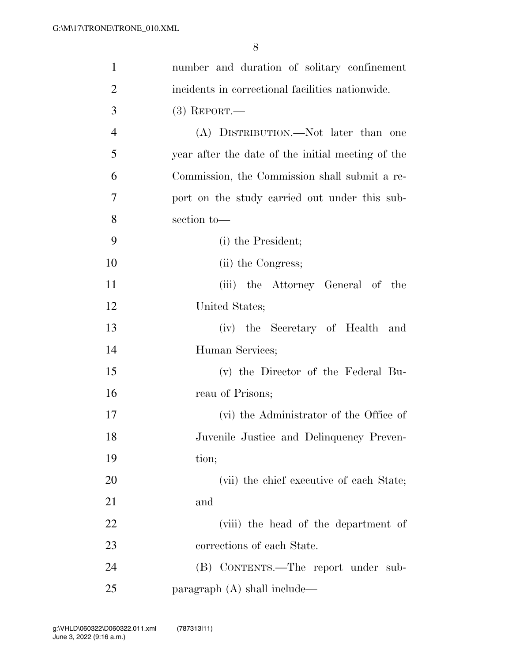| 1              | number and duration of solitary confinement       |
|----------------|---------------------------------------------------|
| $\overline{2}$ | incidents in correctional facilities nationwide.  |
| 3              | $(3)$ REPORT.—                                    |
| $\overline{4}$ | (A) DISTRIBUTION.—Not later than one              |
| 5              | year after the date of the initial meeting of the |
| 6              | Commission, the Commission shall submit a re-     |
| 7              | port on the study carried out under this sub-     |
| 8              | section to-                                       |
| 9              | (i) the President;                                |
| 10             | (ii) the Congress;                                |
| 11             | (iii) the Attorney General of the                 |
| 12             | United States;                                    |
| 13             | (iv) the Secretary of Health<br>and               |
| 14             | Human Services;                                   |
| 15             | (v) the Director of the Federal Bu-               |
| 16             | reau of Prisons;                                  |
| 17             | (vi) the Administrator of the Office of           |
| 18             | Juvenile Justice and Delinquency Preven-          |
| 19             | tion;                                             |
| 20             | (vii) the chief executive of each State;          |
| 21             | and                                               |
| 22             | (viii) the head of the department of              |
| 23             | corrections of each State.                        |
| 24             | (B) CONTENTS.—The report under sub-               |
| 25             | paragraph $(A)$ shall include—                    |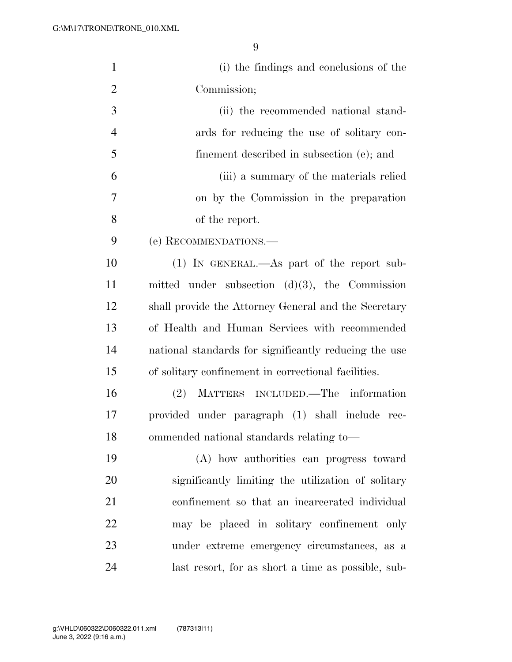| $\mathbf{1}$   | (i) the findings and conclusions of the               |
|----------------|-------------------------------------------------------|
| $\overline{2}$ | Commission;                                           |
| 3              | (ii) the recommended national stand-                  |
| $\overline{4}$ | ards for reducing the use of solitary con-            |
| 5              | finement described in subsection (e); and             |
| 6              | (iii) a summary of the materials relied               |
| 7              | on by the Commission in the preparation               |
| 8              | of the report.                                        |
| 9              | (e) RECOMMENDATIONS.                                  |
| 10             | $(1)$ IN GENERAL.—As part of the report sub-          |
| 11             | mitted under subsection $(d)(3)$ , the Commission     |
| 12             | shall provide the Attorney General and the Secretary  |
| 13             | of Health and Human Services with recommended         |
| 14             | national standards for significantly reducing the use |
| 15             | of solitary confinement in correctional facilities.   |
| 16             | MATTERS INCLUDED.—The information<br>(2)              |
| 17             | provided under paragraph (1) shall include rec-       |
| 18             | ommended national standards relating to-              |
| 19             | (A) how authorities can progress toward               |
| 20             | significantly limiting the utilization of solitary    |
| 21             | confinement so that an incarcerated individual        |
| 22             | may be placed in solitary confinement only            |
| 23             | under extreme emergency circumstances, as a           |
| 24             | last resort, for as short a time as possible, sub-    |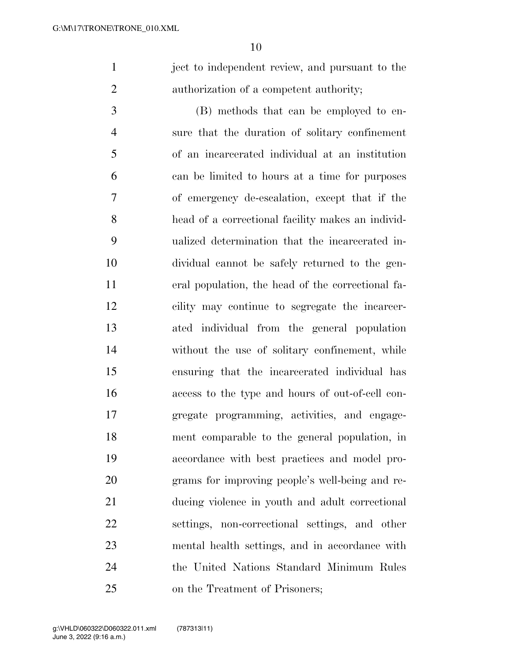ject to independent review, and pursuant to the authorization of a competent authority;

 (B) methods that can be employed to en- sure that the duration of solitary confinement of an incarcerated individual at an institution can be limited to hours at a time for purposes of emergency de-escalation, except that if the head of a correctional facility makes an individ- ualized determination that the incarcerated in- dividual cannot be safely returned to the gen- eral population, the head of the correctional fa- cility may continue to segregate the incarcer- ated individual from the general population without the use of solitary confinement, while ensuring that the incarcerated individual has access to the type and hours of out-of-cell con- gregate programming, activities, and engage- ment comparable to the general population, in accordance with best practices and model pro- grams for improving people's well-being and re- ducing violence in youth and adult correctional settings, non-correctional settings, and other mental health settings, and in accordance with the United Nations Standard Minimum Rules on the Treatment of Prisoners;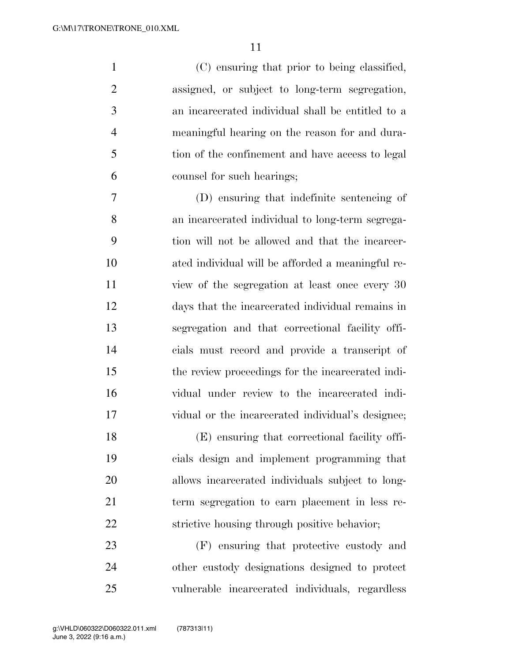(C) ensuring that prior to being classified, assigned, or subject to long-term segregation, an incarcerated individual shall be entitled to a meaningful hearing on the reason for and dura-5 tion of the confinement and have access to legal counsel for such hearings;

 (D) ensuring that indefinite sentencing of an incarcerated individual to long-term segrega- tion will not be allowed and that the incarcer- ated individual will be afforded a meaningful re- view of the segregation at least once every 30 days that the incarcerated individual remains in segregation and that correctional facility offi- cials must record and provide a transcript of the review proceedings for the incarcerated indi- vidual under review to the incarcerated indi-vidual or the incarcerated individual's designee;

 (E) ensuring that correctional facility offi- cials design and implement programming that allows incarcerated individuals subject to long- term segregation to earn placement in less re-strictive housing through positive behavior;

 (F) ensuring that protective custody and other custody designations designed to protect vulnerable incarcerated individuals, regardless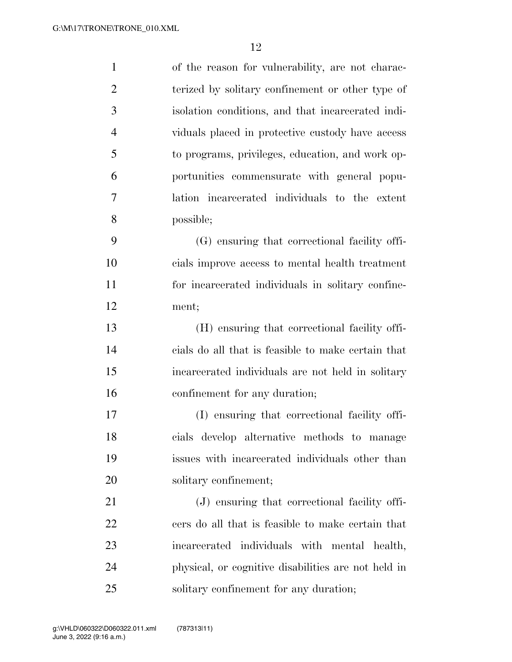| $\mathbf{1}$   | of the reason for vulnerability, are not charac-    |
|----------------|-----------------------------------------------------|
| $\overline{2}$ | terized by solitary confinement or other type of    |
| 3              | isolation conditions, and that incarcerated indi-   |
| $\overline{4}$ | viduals placed in protective custody have access    |
| 5              | to programs, privileges, education, and work op-    |
| 6              | portunities commensurate with general popu-         |
| 7              | lation incarcerated individuals to the extent       |
| 8              | possible;                                           |
| 9              | (G) ensuring that correctional facility offi-       |
| 10             | cials improve access to mental health treatment     |
| 11             | for incarcerated individuals in solitary confine-   |
| 12             | ment;                                               |
| 13             | (H) ensuring that correctional facility offi-       |
| 14             | cials do all that is feasible to make certain that  |
| 15             | incarcerated individuals are not held in solitary   |
| 16             | confinement for any duration;                       |
| 17             | (I) ensuring that correctional facility offi-       |
| 18             | cials develop alternative methods to manage         |
| 19             | issues with incarcerated individuals other than     |
| 20             | solitary confinement;                               |
| 21             | (J) ensuring that correctional facility offi-       |
| 22             | cers do all that is feasible to make certain that   |
| 23             | incarcerated individuals with mental health,        |
| 24             | physical, or cognitive disabilities are not held in |
| 25             | solitary confinement for any duration;              |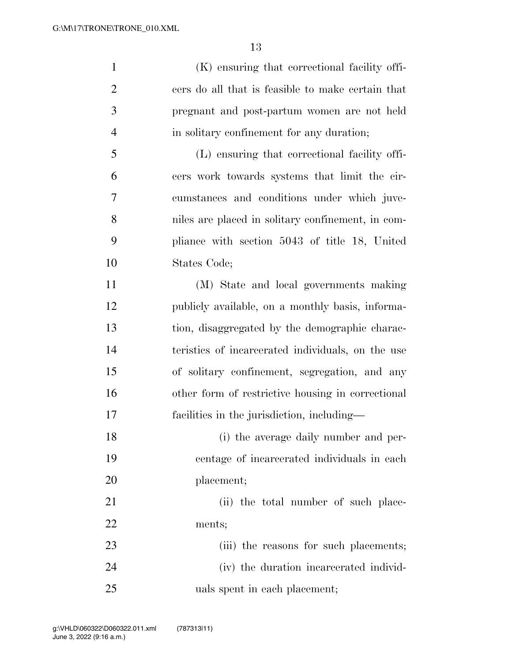(K) ensuring that correctional facility offi- cers do all that is feasible to make certain that pregnant and post-partum women are not held in solitary confinement for any duration; (L) ensuring that correctional facility offi- cers work towards systems that limit the cir- cumstances and conditions under which juve- niles are placed in solitary confinement, in com- pliance with section 5043 of title 18, United States Code; (M) State and local governments making publicly available, on a monthly basis, informa-tion, disaggregated by the demographic charac-

 teristics of incarcerated individuals, on the use of solitary confinement, segregation, and any other form of restrictive housing in correctional facilities in the jurisdiction, including—

 (i) the average daily number and per- centage of incarcerated individuals in each placement;

21 (ii) the total number of such place-ments;

23 (iii) the reasons for such placements; (iv) the duration incarcerated individ-uals spent in each placement;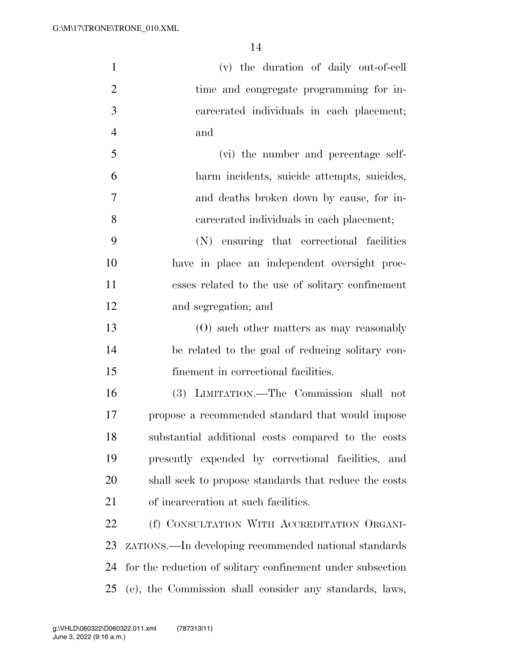| $\mathbf{1}$   | (v) the duration of daily out-of-cell                      |
|----------------|------------------------------------------------------------|
| $\overline{2}$ | time and congregate programming for in-                    |
| 3              | careerated individuals in each placement;                  |
| $\overline{4}$ | and                                                        |
| 5              | (vi) the number and percentage self-                       |
| 6              | harm incidents, suicide attempts, suicides,                |
| 7              | and deaths broken down by cause, for in-                   |
| 8              | carcerated individuals in each placement;                  |
| 9              | (N) ensuring that correctional facilities                  |
| 10             | have in place an independent oversight proc-               |
| 11             | esses related to the use of solitary confinement           |
| 12             | and segregation; and                                       |
| 13             | $(0)$ such other matters as may reasonably                 |
| 14             | be related to the goal of reducing solitary con-           |
| 15             | finement in correctional facilities.                       |
| 16             | (3) LIMITATION.—The Commission shall not                   |
| 17             | propose a recommended standard that would impose           |
| 18             | substantial additional costs compared to the costs         |
| 19             | presently expended by correctional facilities, and         |
| 20             | shall seek to propose standards that reduce the costs      |
| 21             | of incarceration at such facilities.                       |
| 22             | (f) CONSULTATION WITH ACCREDITATION ORGANI-                |
| 23             | zaTIONS.—In developing recommended national standards      |
| 24             | for the reduction of solitary confinement under subsection |
| 25             | (e), the Commission shall consider any standards, laws,    |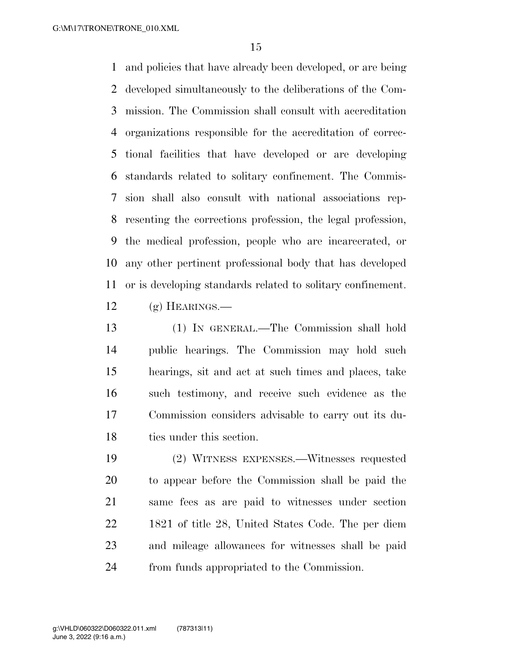and policies that have already been developed, or are being developed simultaneously to the deliberations of the Com- mission. The Commission shall consult with accreditation organizations responsible for the accreditation of correc- tional facilities that have developed or are developing standards related to solitary confinement. The Commis- sion shall also consult with national associations rep- resenting the corrections profession, the legal profession, the medical profession, people who are incarcerated, or any other pertinent professional body that has developed or is developing standards related to solitary confinement.

 $12 \quad$  (g) HEARINGS.—

 (1) IN GENERAL.—The Commission shall hold public hearings. The Commission may hold such hearings, sit and act at such times and places, take such testimony, and receive such evidence as the Commission considers advisable to carry out its du-ties under this section.

 (2) WITNESS EXPENSES.—Witnesses requested to appear before the Commission shall be paid the same fees as are paid to witnesses under section 1821 of title 28, United States Code. The per diem and mileage allowances for witnesses shall be paid from funds appropriated to the Commission.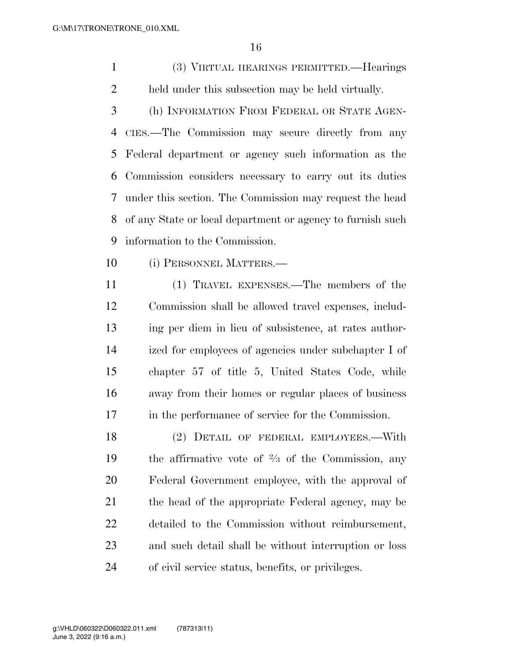(3) VIRTUAL HEARINGS PERMITTED.—Hearings held under this subsection may be held virtually.

 (h) INFORMATION FROM FEDERAL OR STATE AGEN- CIES.—The Commission may secure directly from any Federal department or agency such information as the Commission considers necessary to carry out its duties under this section. The Commission may request the head of any State or local department or agency to furnish such information to the Commission.

(i) PERSONNEL MATTERS.—

 (1) TRAVEL EXPENSES.—The members of the Commission shall be allowed travel expenses, includ- ing per diem in lieu of subsistence, at rates author- ized for employees of agencies under subchapter I of chapter 57 of title 5, United States Code, while away from their homes or regular places of business in the performance of service for the Commission.

 (2) DETAIL OF FEDERAL EMPLOYEES.—With 19 the affirmative vote of  $\frac{2}{3}$  of the Commission, any Federal Government employee, with the approval of the head of the appropriate Federal agency, may be detailed to the Commission without reimbursement, and such detail shall be without interruption or loss of civil service status, benefits, or privileges.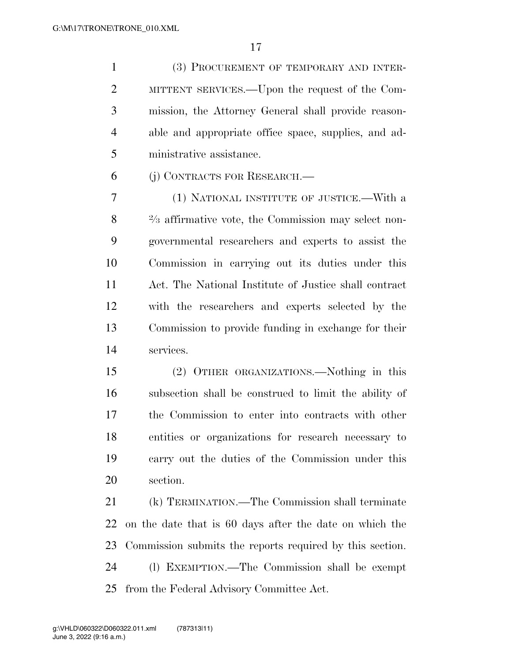(3) PROCUREMENT OF TEMPORARY AND INTER- MITTENT SERVICES.—Upon the request of the Com- mission, the Attorney General shall provide reason- able and appropriate office space, supplies, and ad-ministrative assistance.

(j) CONTRACTS FOR RESEARCH.—

 (1) NATIONAL INSTITUTE OF JUSTICE.—With a 8 <sup>2</sup>/<sub>3</sub> affirmative vote, the Commission may select non- governmental researchers and experts to assist the Commission in carrying out its duties under this Act. The National Institute of Justice shall contract with the researchers and experts selected by the Commission to provide funding in exchange for their services.

 (2) OTHER ORGANIZATIONS.—Nothing in this subsection shall be construed to limit the ability of the Commission to enter into contracts with other entities or organizations for research necessary to carry out the duties of the Commission under this section.

 (k) TERMINATION.—The Commission shall terminate on the date that is 60 days after the date on which the Commission submits the reports required by this section. (l) EXEMPTION.—The Commission shall be exempt from the Federal Advisory Committee Act.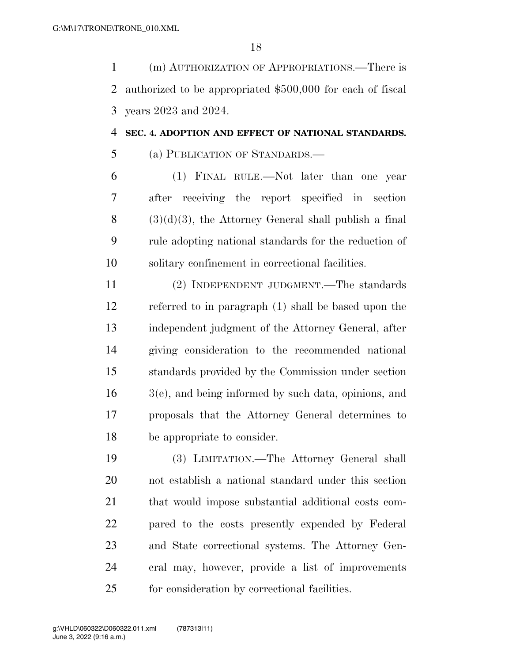(m) AUTHORIZATION OF APPROPRIATIONS.—There is authorized to be appropriated \$500,000 for each of fiscal years 2023 and 2024.

#### **SEC. 4. ADOPTION AND EFFECT OF NATIONAL STANDARDS.**

(a) PUBLICATION OF STANDARDS.—

 (1) FINAL RULE.—Not later than one year after receiving the report specified in section  $(3)(d)(3)$ , the Attorney General shall publish a final rule adopting national standards for the reduction of solitary confinement in correctional facilities.

 (2) INDEPENDENT JUDGMENT.—The standards referred to in paragraph (1) shall be based upon the independent judgment of the Attorney General, after giving consideration to the recommended national standards provided by the Commission under section 3(e), and being informed by such data, opinions, and proposals that the Attorney General determines to be appropriate to consider.

 (3) LIMITATION.—The Attorney General shall not establish a national standard under this section that would impose substantial additional costs com- pared to the costs presently expended by Federal and State correctional systems. The Attorney Gen- eral may, however, provide a list of improvements for consideration by correctional facilities.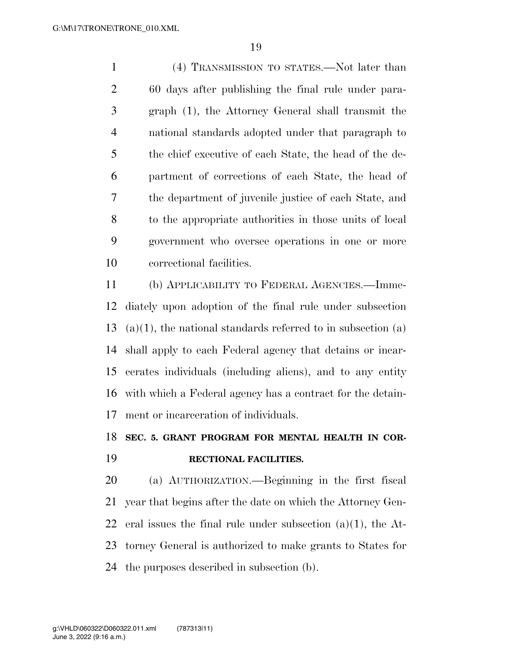(4) TRANSMISSION TO STATES.—Not later than 60 days after publishing the final rule under para- graph (1), the Attorney General shall transmit the national standards adopted under that paragraph to the chief executive of each State, the head of the de- partment of corrections of each State, the head of the department of juvenile justice of each State, and to the appropriate authorities in those units of local government who oversee operations in one or more correctional facilities.

 (b) APPLICABILITY TO FEDERAL AGENCIES.—Imme- diately upon adoption of the final rule under subsection 13 (a)(1), the national standards referred to in subsection (a) shall apply to each Federal agency that detains or incar- cerates individuals (including aliens), and to any entity with which a Federal agency has a contract for the detain-ment or incarceration of individuals.

### **SEC. 5. GRANT PROGRAM FOR MENTAL HEALTH IN COR-RECTIONAL FACILITIES.**

 (a) AUTHORIZATION.—Beginning in the first fiscal year that begins after the date on which the Attorney Gen-22 eral issues the final rule under subsection  $(a)(1)$ , the At- torney General is authorized to make grants to States for the purposes described in subsection (b).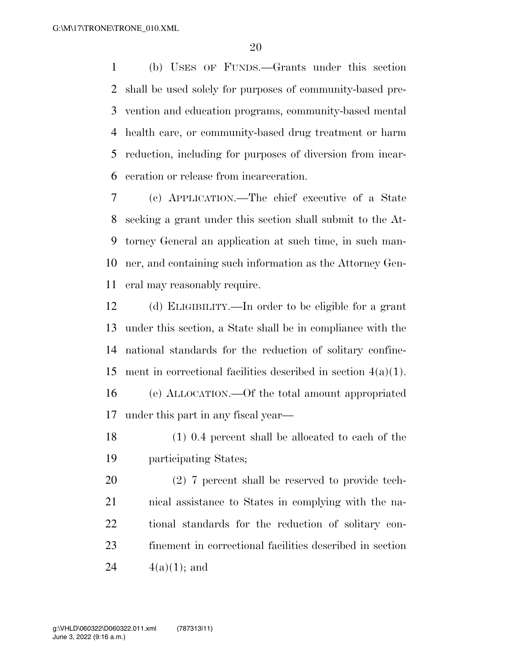(b) USES OF FUNDS.—Grants under this section shall be used solely for purposes of community-based pre- vention and education programs, community-based mental health care, or community-based drug treatment or harm reduction, including for purposes of diversion from incar-ceration or release from incarceration.

 (c) APPLICATION.—The chief executive of a State seeking a grant under this section shall submit to the At- torney General an application at such time, in such man- ner, and containing such information as the Attorney Gen-eral may reasonably require.

 (d) ELIGIBILITY.—In order to be eligible for a grant under this section, a State shall be in compliance with the national standards for the reduction of solitary confine- ment in correctional facilities described in section 4(a)(1). (e) ALLOCATION.—Of the total amount appropriated under this part in any fiscal year—

 (1) 0.4 percent shall be allocated to each of the participating States;

 (2) 7 percent shall be reserved to provide tech- nical assistance to States in complying with the na- tional standards for the reduction of solitary con- finement in correctional facilities described in section  $4(a)(1)$ ; and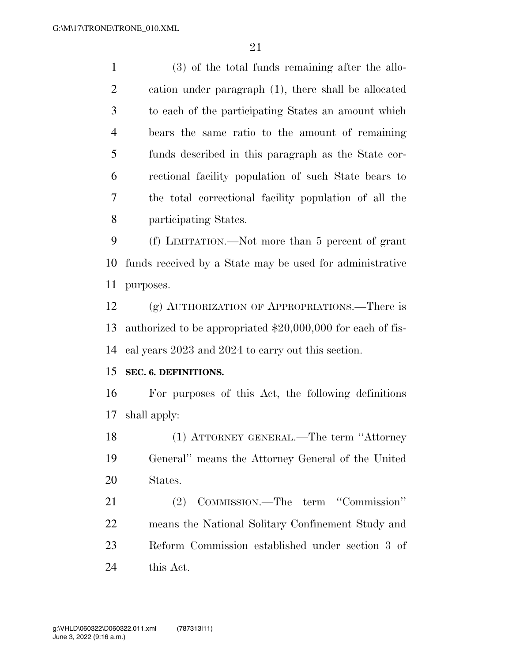(3) of the total funds remaining after the allo- cation under paragraph (1), there shall be allocated to each of the participating States an amount which bears the same ratio to the amount of remaining funds described in this paragraph as the State cor- rectional facility population of such State bears to the total correctional facility population of all the participating States.

 (f) LIMITATION.—Not more than 5 percent of grant funds received by a State may be used for administrative purposes.

 (g) AUTHORIZATION OF APPROPRIATIONS.—There is authorized to be appropriated \$20,000,000 for each of fis-cal years 2023 and 2024 to carry out this section.

#### **SEC. 6. DEFINITIONS.**

 For purposes of this Act, the following definitions shall apply:

 (1) ATTORNEY GENERAL.—The term ''Attorney General'' means the Attorney General of the United States.

 (2) COMMISSION.—The term ''Commission'' means the National Solitary Confinement Study and Reform Commission established under section 3 of this Act.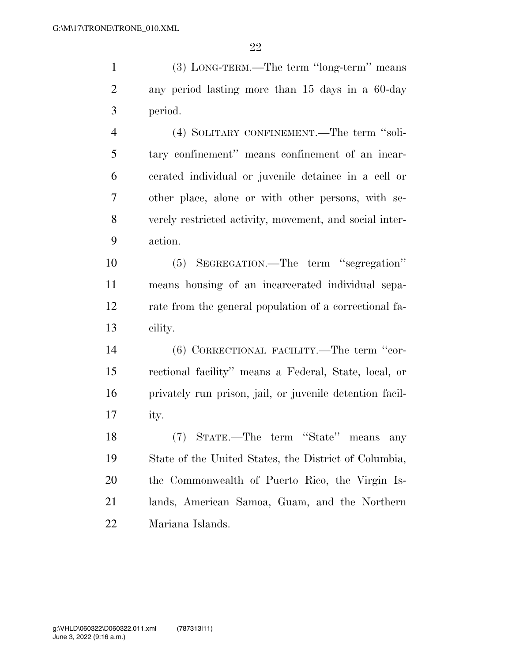(3) LONG-TERM.—The term ''long-term'' means any period lasting more than 15 days in a 60-day period.

 (4) SOLITARY CONFINEMENT.—The term ''soli- tary confinement'' means confinement of an incar- cerated individual or juvenile detainee in a cell or other place, alone or with other persons, with se- verely restricted activity, movement, and social inter-action.

 (5) SEGREGATION.—The term ''segregation'' means housing of an incarcerated individual sepa- rate from the general population of a correctional fa-cility.

 (6) CORRECTIONAL FACILITY.—The term ''cor- rectional facility'' means a Federal, State, local, or privately run prison, jail, or juvenile detention facil-ity.

 (7) STATE.—The term ''State'' means any State of the United States, the District of Columbia, the Commonwealth of Puerto Rico, the Virgin Is- lands, American Samoa, Guam, and the Northern Mariana Islands.